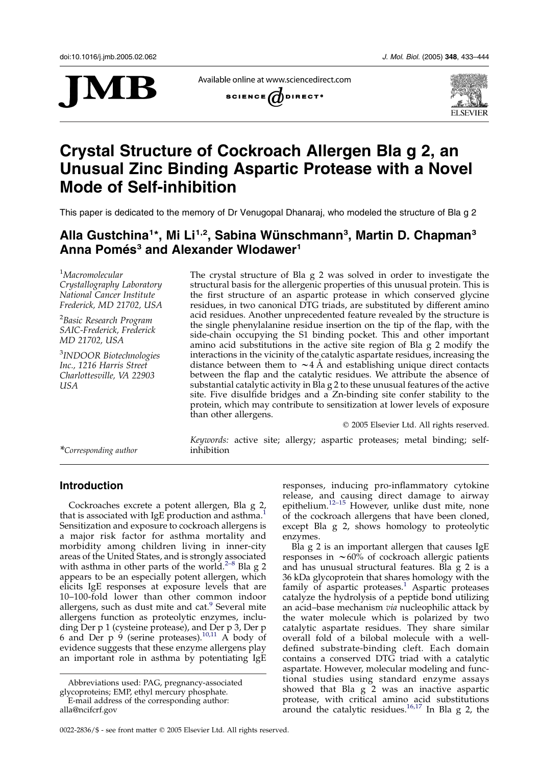

Available online at www.sciencedirect.com





# Crystal Structure of Cockroach Allergen Bla g 2, an Unusual Zinc Binding Aspartic Protease with a Novel Mode of Self-inhibition

This paper is dedicated to the memory of Dr Venugopal Dhanaraj, who modeled the structure of Bla g 2

## Alla Gustchina<sup>1\*</sup>, Mi Li<sup>1,2</sup>, Sabina Wünschmann<sup>3</sup>, Martin D. Chapman<sup>3</sup> Anna Pomés<sup>3</sup> and Alexander Wlodawer<sup>1</sup>

1 Macromolecular Crystallography Laboratory National Cancer Institute Frederick, MD 21702, USA

<sup>2</sup>Basic Research Program SAIC-Frederick, Frederick MD 21702, USA

<sup>3</sup>INDOOR Biotechnologies Inc., 1216 Harris Street Charlottesville, VA 22903 USA

The crystal structure of Bla g 2 was solved in order to investigate the structural basis for the allergenic properties of this unusual protein. This is the first structure of an aspartic protease in which conserved glycine residues, in two canonical DTG triads, are substituted by different amino acid residues. Another unprecedented feature revealed by the structure is the single phenylalanine residue insertion on the tip of the flap, with the side-chain occupying the S1 binding pocket. This and other important amino acid substitutions in the active site region of Bla g 2 modify the interactions in the vicinity of the catalytic aspartate residues, increasing the distance between them to  $\sim$  4 Å and establishing unique direct contacts between the flap and the catalytic residues. We attribute the absence of substantial catalytic activity in Bla g 2 to these unusual features of the active site. Five disulfide bridges and a Zn-binding site confer stability to the protein, which may contribute to sensitization at lower levels of exposure than other allergens.

 $©$  2005 Elsevier Ltd. All rights reserved.

\*Corresponding author

Keywords: active site; allergy; aspartic proteases; metal binding; self-

## Introduction

Cockroaches excrete a potent allergen, Bla g 2, that is associated with IgE production and asthma.<sup>[1](#page-10-0)</sup> Sensitization and exposure to cockroach allergens is a major risk factor for asthma mortality and morbidity among children living in inner-city areas of the United States, and is strongly associated with asthma in other parts of the world.<sup>[2–8](#page-10-0)</sup> Bla g 2 appears to be an especially potent allergen, which elicits IgE responses at exposure levels that are 10–100-fold lower than other common indoor allergens, such as dust mite and cat. $9$  Several mite allergens function as proteolytic enzymes, including Der p 1 (cysteine protease), and Der p 3, Der p 6 and Der  $p \theta$  (serine proteases).<sup>[10,11](#page-10-0)</sup> A body of evidence suggests that these enzyme allergens play an important role in asthma by potentiating IgE

epithelium.<sup>12-15</sup> However, unlike dust mite, none of the cockroach allergens that have been cloned, except Bla g 2, shows homology to proteolytic enzymes. Bla g 2 is an important allergen that causes IgE

responses, inducing pro-inflammatory cytokine release, and causing direct damage to airway

responses in  $\sim 60\%$  of cockroach allergic patients and has unusual structural features. Bla  $\bar{g}$  2 is a 36 kDa glycoprotein that shares homology with the family of aspartic proteases. $<sup>1</sup>$  $<sup>1</sup>$  $<sup>1</sup>$  Aspartic proteases</sup> catalyze the hydrolysis of a peptide bond utilizing an acid–base mechanism via nucleophilic attack by the water molecule which is polarized by two catalytic aspartate residues. They share similar overall fold of a bilobal molecule with a welldefined substrate-binding cleft. Each domain contains a conserved DTG triad with a catalytic aspartate. However, molecular modeling and functional studies using standard enzyme assays showed that Bla g 2 was an inactive aspartic protease, with critical amino acid substitutions around the catalytic residues. $16,17$  In Bla g 2, the

Abbreviations used: PAG, pregnancy-associated glycoproteins; EMP, ethyl mercury phosphate. E-mail address of the corresponding author: alla@ncifcrf.gov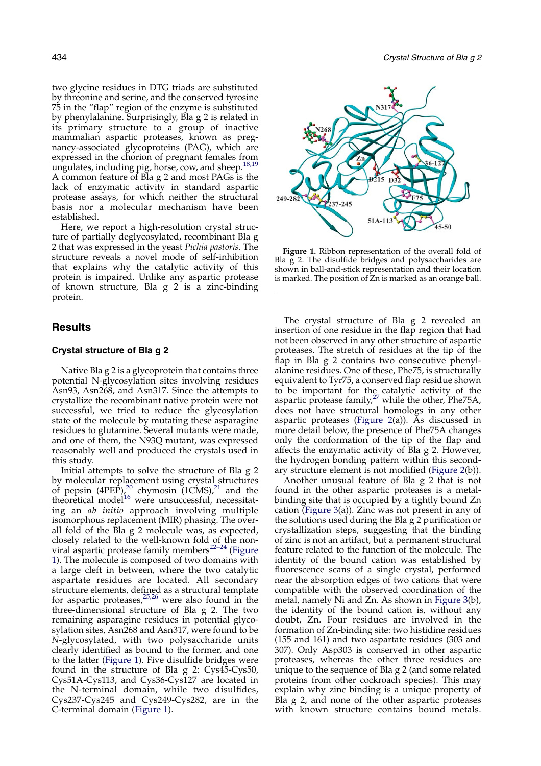<span id="page-1-0"></span>two glycine residues in DTG triads are substituted by threonine and serine, and the conserved tyrosine 75 in the "flap" region of the enzyme is substituted by phenylalanine. Surprisingly, Bla g 2 is related in its primary structure to a group of inactive mammalian aspartic proteases, known as pregnancy-associated glycoproteins (PAG), which are expressed in the chorion of pregnant females from ungulates, including pig, horse, cow, and sheep.<sup>[18,19](#page-10-0)</sup> A common feature of Bla g 2 and most PAGs is the lack of enzymatic activity in standard aspartic protease assays, for which neither the structural basis nor a molecular mechanism have been established.

Here, we report a high-resolution crystal structure of partially deglycosylated, recombinant Bla g 2 that was expressed in the yeast Pichia pastoris. The structure reveals a novel mode of self-inhibition that explains why the catalytic activity of this protein is impaired. Unlike any aspartic protease of known structure, Bla g 2 is a zinc-binding protein.

## Results

## Crystal structure of Bla g 2

Native Bla g 2 is a glycoprotein that contains three potential N-glycosylation sites involving residues Asn93, Asn268, and Asn317. Since the attempts to crystallize the recombinant native protein were not successful, we tried to reduce the glycosylation state of the molecule by mutating these asparagine residues to glutamine. Several mutants were made, and one of them, the N93Q mutant, was expressed reasonably well and produced the crystals used in this study.

Initial attempts to solve the structure of Bla g 2 by molecular replacement using crystal structures of pepsin  $(4PEP)_{\ell}^{20}$  $(4PEP)_{\ell}^{20}$  $(4PEP)_{\ell}^{20}$  chymosin  $(1CMS)_{\ell}^{21}$  $(1CMS)_{\ell}^{21}$  $(1CMS)_{\ell}^{21}$  and the theoretical model<sup>[16](#page-10-0)</sup> were unsuccessful, necessitating an ab initio approach involving multiple isomorphous replacement (MIR) phasing. The overall fold of the Bla g 2 molecule was, as expected, closely related to the well-known fold of the nonviral aspartic protease family members<sup>22-24</sup> (Figure 1). The molecule is composed of two domains with a large cleft in between, where the two catalytic aspartate residues are located. All secondary structure elements, defined as a structural template for aspartic proteases, $25,26$  were also found in the three-dimensional structure of Bla g 2. The two remaining asparagine residues in potential glycosylation sites, Asn268 and Asn317, were found to be N-glycosylated, with two polysaccharide units clearly identified as bound to the former, and one to the latter (Figure 1). Five disulfide bridges were found in the structure of Bla g 2: Cys45-Cys50, Cys51A-Cys113, and Cys36-Cys127 are located in the N-terminal domain, while two disulfides, Cys237-Cys245 and Cys249-Cys282, are in the C-terminal domain (Figure 1).



Figure 1. Ribbon representation of the overall fold of Bla g 2. The disulfide bridges and polysaccharides are shown in ball-and-stick representation and their location is marked. The position of Zn is marked as an orange ball.

The crystal structure of Bla g 2 revealed an insertion of one residue in the flap region that had not been observed in any other structure of aspartic proteases. The stretch of residues at the tip of the flap in Bla g 2 contains two consecutive phenylalanine residues. One of these, Phe75, is structurally equivalent to Tyr75, a conserved flap residue shown to be important for the catalytic activity of the aspartic protease family,<sup>[27](#page-10-0)</sup> while the other, Phe75A, does not have structural homologs in any other aspartic proteases ([Figure 2\(](#page-2-0)a)). As discussed in more detail below, the presence of Phe75A changes only the conformation of the tip of the flap and affects the enzymatic activity of Bla g 2. However, the hydrogen bonding pattern within this secondary structure element is not modified ([Figure 2](#page-2-0)(b)).

Another unusual feature of Bla g 2 that is not found in the other aspartic proteases is a metalbinding site that is occupied by a tightly bound Zn cation [\(Figure 3\(](#page-3-0)a)). Zinc was not present in any of the solutions used during the Bla g 2 purification or crystallization steps, suggesting that the binding of zinc is not an artifact, but a permanent structural feature related to the function of the molecule. The identity of the bound cation was established by fluorescence scans of a single crystal, performed near the absorption edges of two cations that were compatible with the observed coordination of the metal, namely Ni and Zn. As shown in [Figure 3\(](#page-3-0)b), the identity of the bound cation is, without any doubt, Zn. Four residues are involved in the formation of Zn-binding site: two histidine residues (155 and 161) and two aspartate residues (303 and 307). Only Asp303 is conserved in other aspartic proteases, whereas the other three residues are unique to the sequence of Bla g 2 (and some related proteins from other cockroach species). This may explain why zinc binding is a unique property of Bla g 2, and none of the other aspartic proteases with known structure contains bound metals.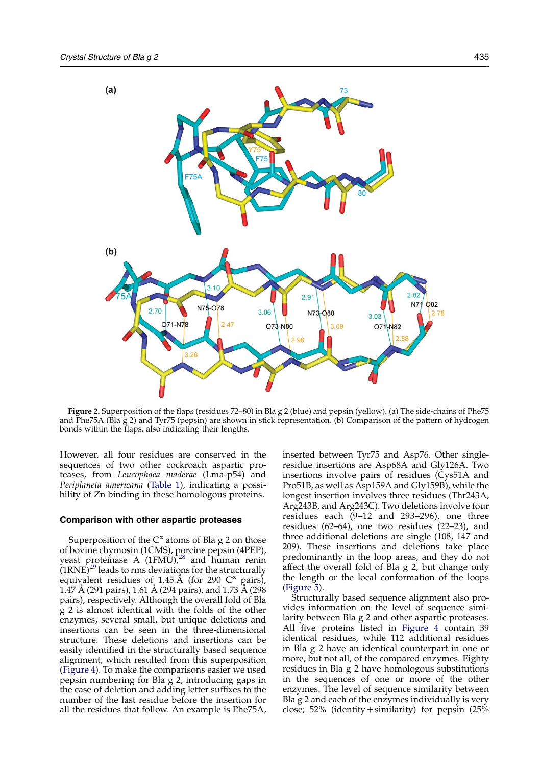<span id="page-2-0"></span>

Figure 2. Superposition of the flaps (residues 72–80) in Bla g 2 (blue) and pepsin (yellow). (a) The side-chains of Phe75 and Phe75A (Bla g 2) and Tyr75 (pepsin) are shown in stick representation. (b) Comparison of the pattern of hydrogen bonds within the flaps, also indicating their lengths.

However, all four residues are conserved in the sequences of two other cockroach aspartic proteases, from Leucophaea maderae (Lma-p54) and Periplaneta americana [\(Table 1](#page-3-0)), indicating a possibility of Zn binding in these homologous proteins.

## Comparison with other aspartic proteases

Superposition of the  $C^{\alpha}$  atoms of Bla g 2 on those of bovine chymosin (1CMS), porcine pepsin (4PEP), yeast proteinase  $A$  (1FMU),<sup>[28](#page-10-0)</sup> and human renin  $(1RNE)^{29}$  $(1RNE)^{29}$  $(1RNE)^{29}$  leads to rms deviations for the structurally equivalent residues of 1.45 Å (for 290  $C^{\alpha}$  pairs), 1.47 A (291 pairs), 1.61 A (294 pairs), and 1.73 A (298 pairs), respectively. Although the overall fold of Bla g 2 is almost identical with the folds of the other enzymes, several small, but unique deletions and insertions can be seen in the three-dimensional structure. These deletions and insertions can be easily identified in the structurally based sequence alignment, which resulted from this superposition [\(Figure 4](#page-4-0)). To make the comparisons easier we used pepsin numbering for Bla  $\frac{1}{2}$  2, introducing gaps in the case of deletion and adding letter suffixes to the number of the last residue before the insertion for all the residues that follow. An example is Phe75A,

inserted between Tyr75 and Asp76. Other singleresidue insertions are Asp68A and Gly126A. Two insertions involve pairs of residues (Cys51A and Pro51B, as well as Asp159A and Gly159B), while the longest insertion involves three residues (Thr243A, Arg243B, and Arg243C). Two deletions involve four residues each  $(9-12$  and 293-296), one three residues (62–64), one two residues (22–23), and three additional deletions are single (108, 147 and 209). These insertions and deletions take place predominantly in the loop areas, and they do not affect the overall fold of Bla g 2, but change only the length or the local conformation of the loops [\(Figure 5\)](#page-5-0).

Structurally based sequence alignment also provides information on the level of sequence similarity between Bla g 2 and other aspartic proteases. All five proteins listed in [Figure 4](#page-4-0) contain 39 identical residues, while 112 additional residues in Bla g 2 have an identical counterpart in one or more, but not all, of the compared enzymes. Eighty residues in Bla g 2 have homologous substitutions in the sequences of one or more of the other enzymes. The level of sequence similarity between Bla g 2 and each of the enzymes individually is very close; 52% (identity+similarity) for pepsin (25%)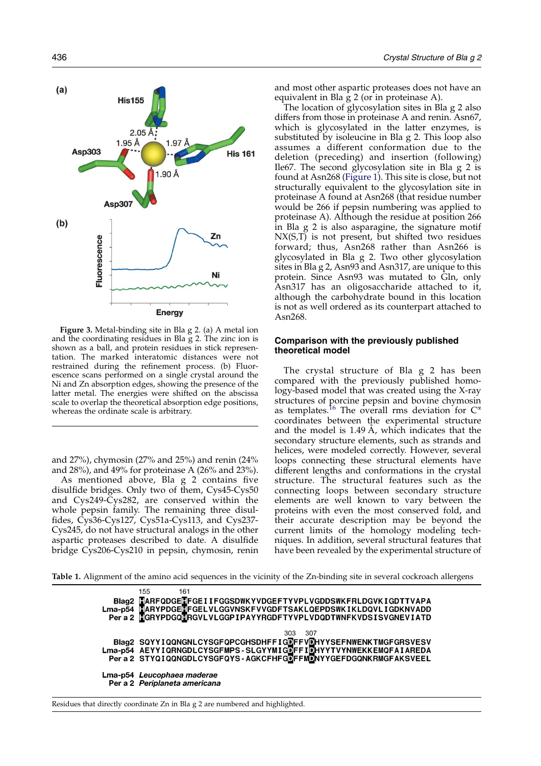<span id="page-3-0"></span>

Figure 3. Metal-binding site in Bla g 2. (a) A metal ion and the coordinating residues in Bla g 2. The zinc ion is shown as a ball, and protein residues in stick representation. The marked interatomic distances were not restrained during the refinement process. (b) Fluorescence scans performed on a single crystal around the Ni and Zn absorption edges, showing the presence of the latter metal. The energies were shifted on the abscissa scale to overlap the theoretical absorption edge positions, whereas the ordinate scale is arbitrary.

and 27%), chymosin (27% and 25%) and renin (24% and 28%), and 49% for proteinase A (26% and 23%).

As mentioned above, Bla g 2 contains five disulfide bridges. Only two of them, Cys45-Cys50 and Cys249-Cys282, are conserved within the whole pepsin family. The remaining three disulfides, Cys36-Cys127, Cys51a-Cys113, and Cys237- Cys245, do not have structural analogs in the other aspartic proteases described to date. A disulfide bridge Cys206-Cys210 in pepsin, chymosin, renin and most other aspartic proteases does not have an equivalent in Bla  $g$  2 (or in proteinase A).

The location of glycosylation sites in Bla g 2 also differs from those in proteinase A and renin. Asn67, which is glycosylated in the latter enzymes, is substituted by isoleucine in Bla g 2. This loop also assumes a different conformation due to the deletion (preceding) and insertion (following) Ile67. The second glycosylation site in Bla g 2 is found at Asn268 ([Figure 1](#page-1-0)). This site is close, but not structurally equivalent to the glycosylation site in proteinase A found at Asn268 (that residue number would be 266 if pepsin numbering was applied to proteinase A). Although the residue at position 266 in Bla g 2 is also asparagine, the signature motif NX(S,T) is not present, but shifted two residues forward; thus, Asn268 rather than Asn266 is glycosylated in Bla g 2. Two other glycosylation sites in Bla g 2, Asn93 and Asn317, are unique to this protein. Since Asn93 was mutated to Gln, only Asn317 has an oligosaccharide attached to it, although the carbohydrate bound in this location is not as well ordered as its counterpart attached to Asn268.

## Comparison with the previously published theoretical model

The crystal structure of Bla g 2 has been compared with the previously published homology-based model that was created using the X-ray structures of porcine pepsin and bovine chymosin as templates.<sup>[16](#page-10-0)</sup> The overall rms deviation for  $C^{\alpha}$ coordinates between the experimental structure and the model is 1.49 A, which indicates that the secondary structure elements, such as strands and helices, were modeled correctly. However, several loops connecting these structural elements have different lengths and conformations in the crystal structure. The structural features such as the connecting loops between secondary structure elements are well known to vary between the proteins with even the most conserved fold, and their accurate description may be beyond the current limits of the homology modeling techniques. In addition, several structural features that have been revealed by the experimental structure of

Table 1. Alignment of the amino acid sequences in the vicinity of the Zn-binding site in several cockroach allergens

| 155<br>161                                                                                                                                                                                          |
|-----------------------------------------------------------------------------------------------------------------------------------------------------------------------------------------------------|
| Blag2 HARFQDGEHFGEIIFGGSDWKYVDGEFTYVPLVGDDSWKFRLDGVKIGDTTVAPA<br>Lma-p54 HARYPDGEHFGELVLGGVNSKFVVGDFTSAKLQEPDSWKIKLDQVLIGDKNVADD<br>Per a 2 HGRYPDGQHRGVLVLGGPIPAYYRGDFTYVPLVDQDTWNFKVDSISVGNEVIATD |
|                                                                                                                                                                                                     |
|                                                                                                                                                                                                     |
|                                                                                                                                                                                                     |
| -307<br>303.                                                                                                                                                                                        |
|                                                                                                                                                                                                     |
|                                                                                                                                                                                                     |
| Blag2 SQYYIQQNGNLCYSGFQPCGHSDHFFIGDFFVDHYYSEFNWENKTMGFGRSVESV<br>Lma-p54 AEYYIQRNGDLCYSGFMPS-SLGYYMIGDFFIDHYYTVYNWEKKEMQFAIAREDA<br>Pera2 STYQIQQNGDLCYSGFQYS-AGKCFHFGDFFMDNYYGEFDGQNKRMGFAKSVEEL   |
|                                                                                                                                                                                                     |
| Lma-p54 Leucophaea maderae                                                                                                                                                                          |
| Per a 2 Periplaneta americana                                                                                                                                                                       |
|                                                                                                                                                                                                     |

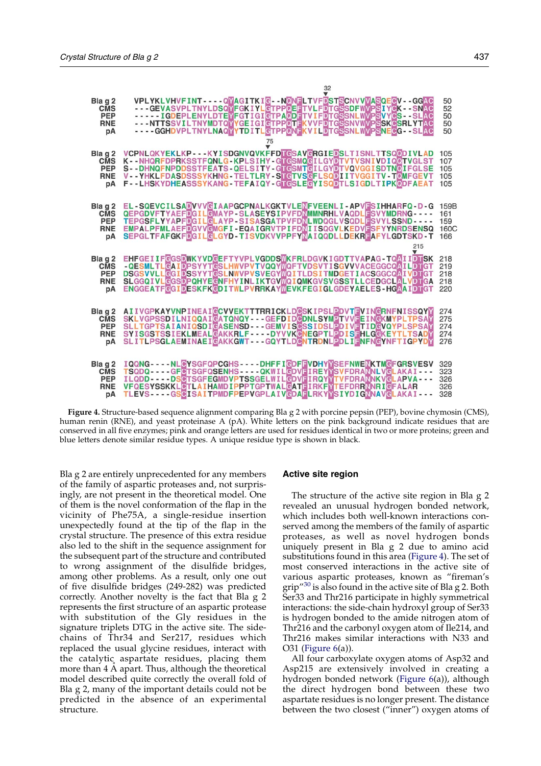<span id="page-4-0"></span>

|            | 32                                                                                             |      |
|------------|------------------------------------------------------------------------------------------------|------|
| Bla g 2    | VPLYKLVHVFINT----QVAGITKIG--NONELTVFDSTSCNVVVASQEGV--GGAC                                      | 50   |
| <b>CMS</b> | - - - GEVASVPLTNYLDSQ <mark>M</mark> FGKIYL@TPP@EFTVLFDTGSSDFWMPSIY@K - - SNAC                 | 52   |
| <b>PEP</b> | - - - - - IGDEPLENYLDTE <mark>Y</mark> FGTIGIGTPAODFTVIFDTGSSNLWVPSVYCS - - SLAC               | 50   |
| <b>RNE</b> |                                                                                                | 50   |
| рA         | - - - - GGHDVPLTNYLNAQ <mark>YYTDITLG</mark> TPP <mark>@NF</mark> KVILDTGSSNLWVPSNE@G - - SLAC | 50   |
|            |                                                                                                |      |
| Bla g 2    | VCPNLQKYEKLKP---KYISDGNVQVKFFDTGSAVGRGIEDSLTISNLTTSQQDIVLAD                                    | 105  |
| <b>CMS</b> | K--NHQRFDPRKSSTFQNLG-KPLSIHY-GTGSMQGILGYDTVTVSNIVDIQ0TVGLST                                    | 107  |
| <b>PEP</b> | S--DHNQFNPDDSSTFEATS-QELSITY-GTGSMTGILGYDTVQVGGISDTN@IFGLSE                                    | 105  |
| <b>RNE</b> | V--YHKLFDASDSSSYKHNG-TELTLRY-STGTVSGFLSQDIITVGGITV-T@MFGEVT                                    | 105  |
| рA         | F--LHSKYDHEASSSYKANG-TEFAIQY-GTGSLEGYISQDTLSIGDLTIPKQDFAEAT                                    | 105  |
|            |                                                                                                |      |
| Bla q 2    | EL-SQEVCILSADVVV@IAAPGCPNALKGKTVLENFVEENLI-APVESIHHARFQ-D-G                                    | 159B |
| <b>CMS</b> | QEPGDVFTYAEFDGILGMAYP-SLASEYSIPVFDNMMNRHLVAQDLESVYMDRNG----                                    | 161  |
| <b>PEP</b> | TEPGSFLYYAPFDGILGLAYP-SISASGATPVFDNLWDQGLVSQDLFSVYLSSND----                                    | 159  |
| <b>RNE</b> | EMPALPFMLAEFDGVV@MGFI-EQAIGRVTPIFDNIISQGVLKEDVDSFYYNRDSENSQ                                    | 160C |
| pA         | SEPGLTFAFGKFDGILGLGYD-TISVDKVVPPFYMAIQQDLLDEKRFAFYLGDTSKD-T                                    | 166  |
|            | 215                                                                                            |      |
| Bla q 2    | EHFGEIIFGGSDWKYVDGEFTYVPLVGDDSWKFRLDGVKIGDTTVAPAG-TQAIIDTSK                                    | 218  |
| <b>CMS</b> | - QESMLTLGAIDPSYYTGSLHWVPVTVQQYMQFTVDSVTISGVVVACEGGCQAILDTGT                                   | 219  |
| <b>PEP</b> | DSGSVVLLGGIDSSYYTGSLNWVPVSVEGYMQITLDSITMDGETIACSGGCQAIVDTGT                                    | 218  |
| <b>RNE</b> | SLGGQIVL@GSDPQHYE@NFHYINLIKTGVWQIQMKGVSVGSSTLLCEDGCLALVDTGA                                    | 218  |
| рA         | ENGGEATFCGIDESKFKCDITWLPVRRKAYWEVKFEGIGLGDEYAELES-HGAAIDTGT                                    | 220  |
| Bla g 2    | AIIVGPKAYVNPINEAIGCVVEKTTTRRICKLDGSKIPSLEDVTEVINGRNFNISSQYM                                    | 274  |
| <b>CMS</b> | SKLVGPSSDILNIQQAIGATQNQY---GEFDID@DNLSYMDTVVDEIN@KMYPLTPSAM                                    | 275  |
| <b>PEP</b> | SLLTGPTSAIANIQSDIGASENSD---GEMVIS®SSIDSLEDIVETID@VQYPLSPSAM                                    | 274  |
| <b>RNE</b> | SYISGSTSSIEKLMEAL@AKKRLF----DYVVK@NEGPTL <b>@DIS@HLG@KEYTLTSADY</b>                            | 274  |
| pA         | SLITLPSGLAEMINAEI@AKKGWT---GQYTLD@NTRDNLPDLIENFN@YNFTIGPYDM                                    | 276  |
| Bla g 2    | IQQNG----NL@YSGFQPCGHS----DHFFI@DFFWDHYWSEFNWENKTMGFGRSVESV                                    | 329  |
| <b>CMS</b> | TSQDQ----GF@TSGFQSENHS----QKWIL@DVDIREYWSVFDRAWNLV@LAKAI---                                    | 323  |
| <b>PEP</b> | ILQDD - - - - DS@TSGFEGMDVPTSSGELWIL@DVFIRQYWTVFDRAWNKV@LAPVA - - -                            | 326  |
| <b>RNE</b> | <b>VFQESYSSKKL@TLAIHAMDIPPPTGPTWAL@ATEIRKFMTEFDRRNNRI@FALAR</b>                                | 326  |
| рA         | TLEVS----GSGISAITPMDFPEPVGPLAIVCDAFLRKYMSIYDIGNNAVCLAKAI---                                    | 328  |

Figure 4. Structure-based sequence alignment comparing Bla g 2 with porcine pepsin (PEP), bovine chymosin (CMS), human renin (RNE), and yeast proteinase A (pA). White letters on the pink background indicate residues that are conserved in all five enzymes; pink and orange letters are used for residues identical in two or more proteins; green and blue letters denote similar residue types. A unique residue type is shown in black.

Bla g 2 are entirely unprecedented for any members of the family of aspartic proteases and, not surprisingly, are not present in the theoretical model. One of them is the novel conformation of the flap in the vicinity of Phe75A, a single-residue insertion unexpectedly found at the tip of the flap in the crystal structure. The presence of this extra residue also led to the shift in the sequence assignment for the subsequent part of the structure and contributed to wrong assignment of the disulfide bridges, among other problems. As a result, only one out of five disulfide bridges (249-282) was predicted correctly. Another novelty is the fact that Bla g 2 represents the first structure of an aspartic protease with substitution of the Gly residues in the signature triplets DTG in the active site. The sidechains of Thr34 and Ser217, residues which replaced the usual glycine residues, interact with the catalytic aspartate residues, placing them more than 4 A apart. Thus, although the theoretical model described quite correctly the overall fold of Bla g 2, many of the important details could not be predicted in the absence of an experimental structure.

#### Active site region

The structure of the active site region in Bla g 2 revealed an unusual hydrogen bonded network, which includes both well-known interactions conserved among the members of the family of aspartic proteases, as well as novel hydrogen bonds uniquely present in Bla g 2 due to amino acid substitutions found in this area (Figure 4). The set of most conserved interactions in the active site of various aspartic proteases, known as "fireman's grip"<sup>[30](#page-10-0)</sup> is also found in the active site of Bla g 2. Both Ser33 and Thr216 participate in highly symmetrical interactions: the side-chain hydroxyl group of Ser33 is hydrogen bonded to the amide nitrogen atom of Thr216 and the carbonyl oxygen atom of Ile214, and Thr216 makes similar interactions with N33 and O31 ([Figure 6\(](#page-6-0)a)).

All four carboxylate oxygen atoms of Asp32 and Asp215 are extensively involved in creating a hydrogen bonded network [\(Figure 6\(](#page-6-0)a)), although the direct hydrogen bond between these two aspartate residues is no longer present. The distance between the two closest ("inner") oxygen atoms of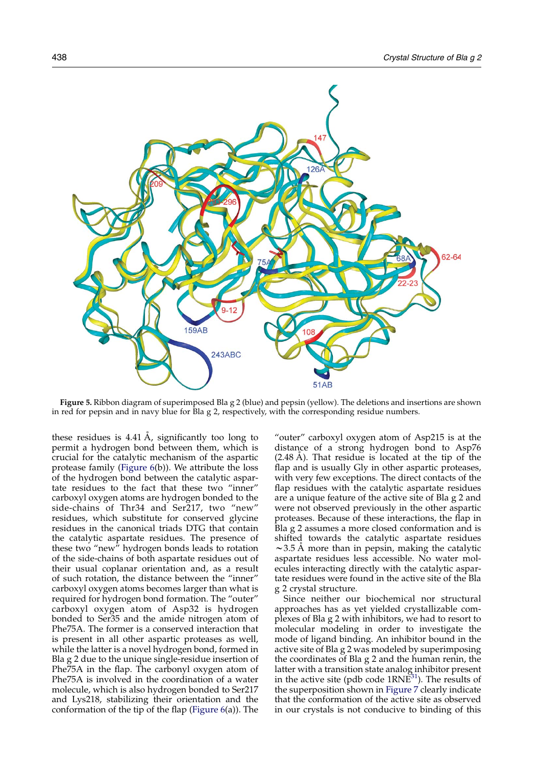<span id="page-5-0"></span>

Figure 5. Ribbon diagram of superimposed Bla g 2 (blue) and pepsin (yellow). The deletions and insertions are shown in red for pepsin and in navy blue for Bla g 2, respectively, with the corresponding residue numbers.

these residues is  $4.41 \text{ Å}$ , significantly too long to permit a hydrogen bond between them, which is crucial for the catalytic mechanism of the aspartic protease family [\(Figure 6](#page-6-0)(b)). We attribute the loss of the hydrogen bond between the catalytic aspartate residues to the fact that these two "inner" carboxyl oxygen atoms are hydrogen bonded to the side-chains of Thr34 and Ser217, two "new" residues, which substitute for conserved glycine residues in the canonical triads DTG that contain the catalytic aspartate residues. The presence of these two "new" hydrogen bonds leads to rotation of the side-chains of both aspartate residues out of their usual coplanar orientation and, as a result of such rotation, the distance between the "inner" carboxyl oxygen atoms becomes larger than what is required for hydrogen bond formation. The "outer" carboxyl oxygen atom of Asp32 is hydrogen bonded to Ser35 and the amide nitrogen atom of Phe75A. The former is a conserved interaction that is present in all other aspartic proteases as well, while the latter is a novel hydrogen bond, formed in Bla g 2 due to the unique single-residue insertion of Phe75A in the flap. The carbonyl oxygen atom of Phe75A is involved in the coordination of a water molecule, which is also hydrogen bonded to Ser217 and Lys218, stabilizing their orientation and the conformation of the tip of the flap [\(Figure 6\(](#page-6-0)a)). The

"outer" carboxyl oxygen atom of Asp215 is at the distance of a strong hydrogen bond to Asp76  $(2.48 \text{ Å})$ . That residue is located at the tip of the flap and is usually Gly in other aspartic proteases, with very few exceptions. The direct contacts of the flap residues with the catalytic aspartate residues are a unique feature of the active site of Bla g 2 and were not observed previously in the other aspartic proteases. Because of these interactions, the flap in Bla g 2 assumes a more closed conformation and is shifted towards the catalytic aspartate residues  $\sim$ 3.5 Å more than in pepsin, making the catalytic aspartate residues less accessible. No water molecules interacting directly with the catalytic aspartate residues were found in the active site of the Bla g 2 crystal structure.

Since neither our biochemical nor structural approaches has as yet yielded crystallizable complexes of Bla g 2 with inhibitors, we had to resort to molecular modeling in order to investigate the mode of ligand binding. An inhibitor bound in the active site of Bla g 2 was modeled by superimposing the coordinates of Bla g 2 and the human renin, the latter with a transition state analog inhibitor present in the active site (pdb code  $1RNE<sup>31</sup>$  $1RNE<sup>31</sup>$  $1RNE<sup>31</sup>$ ). The results of the superposition shown in [Figure 7](#page-6-0) clearly indicate that the conformation of the active site as observed in our crystals is not conducive to binding of this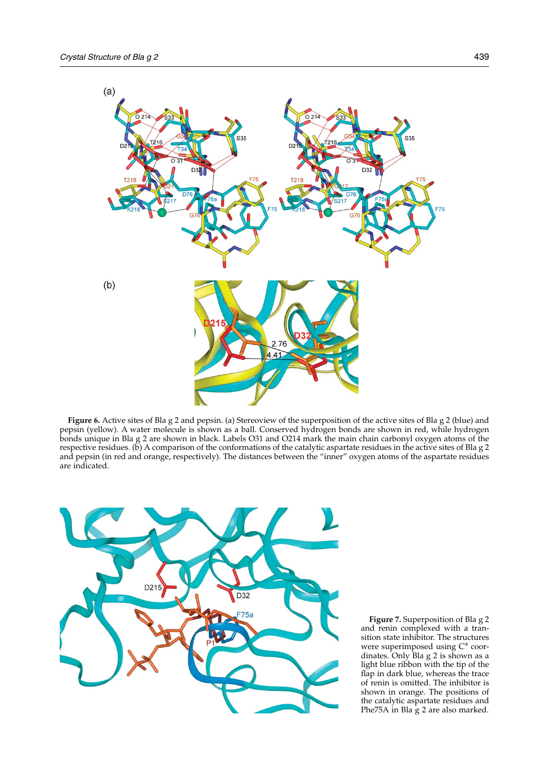<span id="page-6-0"></span>

Figure 6. Active sites of Bla g 2 and pepsin. (a) Stereoview of the superposition of the active sites of Bla g 2 (blue) and pepsin (yellow). A water molecule is shown as a ball. Conserved hydrogen bonds are shown in red, while hydrogen bonds unique in Bla g 2 are shown in black. Labels O31 and O214 mark the main chain carbonyl oxygen atoms of the respective residues. (b) A comparison of the conformations of the catalytic aspartate residues in the active sites of Bla g 2 and pepsin (in red and orange, respectively). The distances between the "inner" oxygen atoms of the aspartate residues are indicated.



Figure 7. Superposition of Bla g 2 and renin complexed with a transition state inhibitor. The structures were superimposed using  $C^{\alpha}$  coordinates. Only Bla g 2 is shown as a light blue ribbon with the tip of the flap in dark blue, whereas the trace of renin is omitted. The inhibitor is shown in orange. The positions of the catalytic aspartate residues and Phe75A in Bla g 2 are also marked.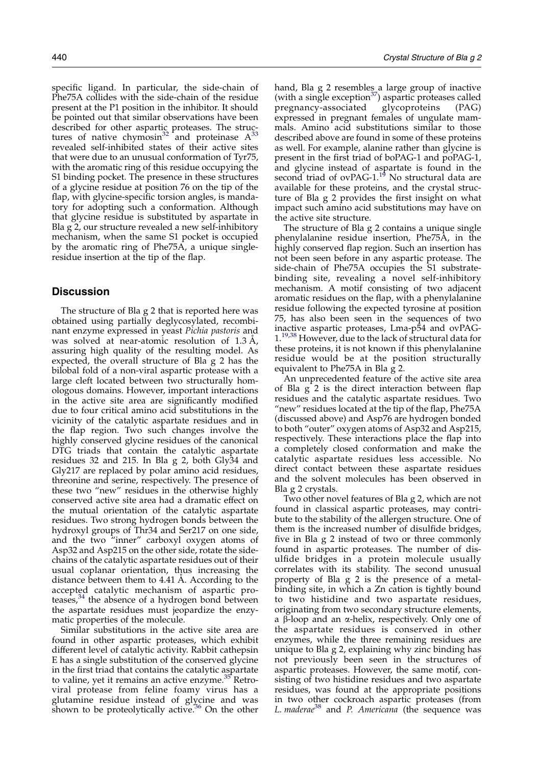specific ligand. In particular, the side-chain of Phe75A collides with the side-chain of the residue present at the P1 position in the inhibitor. It should be pointed out that similar observations have been described for other aspartic proteases. The struc-tures of native chymosin<sup>[32](#page-11-0)</sup> and proteinase  $A^{33}$  $A^{33}$  $A^{33}$ revealed self-inhibited states of their active sites that were due to an unusual conformation of Tyr75, with the aromatic ring of this residue occupying the S1 binding pocket. The presence in these structures of a glycine residue at position 76 on the tip of the flap, with glycine-specific torsion angles, is mandatory for adopting such a conformation. Although that glycine residue is substituted by aspartate in Bla g 2, our structure revealed a new self-inhibitory mechanism, when the same S1 pocket is occupied by the aromatic ring of Phe75A, a unique singleresidue insertion at the tip of the flap.

## **Discussion**

The structure of Bla g 2 that is reported here was obtained using partially deglycosylated, recombinant enzyme expressed in yeast Pichia pastoris and was solved at near-atomic resolution of  $1.3 \text{ A}$ , assuring high quality of the resulting model. As expected, the overall structure of Bla g 2 has the bilobal fold of a non-viral aspartic protease with a large cleft located between two structurally homologous domains. However, important interactions in the active site area are significantly modified due to four critical amino acid substitutions in the vicinity of the catalytic aspartate residues and in the flap region. Two such changes involve the highly conserved glycine residues of the canonical DTG triads that contain the catalytic aspartate residues 32 and 215. In Bla g 2, both Gly34 and Gly217 are replaced by polar amino acid residues, threonine and serine, respectively. The presence of these two "new" residues in the otherwise highly conserved active site area had a dramatic effect on the mutual orientation of the catalytic aspartate residues. Two strong hydrogen bonds between the hydroxyl groups of Thr34 and Ser217 on one side, and the two "inner" carboxyl oxygen atoms of Asp32 and Asp215 on the other side, rotate the sidechains of the catalytic aspartate residues out of their usual coplanar orientation, thus increasing the distance between them to 4.41 A. According to the accepted catalytic mechanism of aspartic proteases, $34$  the absence of a hydrogen bond between the aspartate residues must jeopardize the enzymatic properties of the molecule.

Similar substitutions in the active site area are found in other aspartic proteases, which exhibit different level of catalytic activity. Rabbit cathepsin E has a single substitution of the conserved glycine in the first triad that contains the catalytic aspartate to valine, yet it remains an active enzyme.<sup>[35](#page-11-0)</sup> Retroviral protease from feline foamy virus has a glutamine residue instead of glycine and was shown to be proteolytically active. $36$  On the other hand, Bla g 2 resembles a large group of inactive (with a single exception<sup>[37](#page-11-0)</sup>) aspartic proteases called<br>pregnancy-associated glycoproteins (PAG) pregnancy-associated glycoproteins (PAG) expressed in pregnant females of ungulate mammals. Amino acid substitutions similar to those described above are found in some of these proteins as well. For example, alanine rather than glycine is present in the first triad of boPAG-1 and poPAG-1, and glycine instead of aspartate is found in the second triad of ovPAG-1.<sup>[19](#page-10-0)</sup> No structural data are available for these proteins, and the crystal structure of Bla g 2 provides the first insight on what impact such amino acid substitutions may have on the active site structure.

The structure of Bla g 2 contains a unique single phenylalanine residue insertion, Phe75A, in the highly conserved flap region. Such an insertion has not been seen before in any aspartic protease. The side-chain of Phe75A occupies the S1 substratebinding site, revealing a novel self-inhibitory mechanism. A motif consisting of two adjacent aromatic residues on the flap, with a phenylalanine residue following the expected tyrosine at position 75, has also been seen in the sequences of two inactive aspartic proteases, Lma-p54 and ovPAG-1.[19,38](#page-10-0) However, due to the lack of structural data for these proteins, it is not known if this phenylalanine residue would be at the position structurally equivalent to Phe75A in Bla g 2.

An unprecedented feature of the active site area of Bla  $g^2$  is the direct interaction between flap residues and the catalytic aspartate residues. Two "new" residues located at the tip of the flap, Phe75A (discussed above) and Asp76 are hydrogen bonded to both "outer" oxygen atoms of Asp32 and Asp215, respectively. These interactions place the flap into a completely closed conformation and make the catalytic aspartate residues less accessible. No direct contact between these aspartate residues and the solvent molecules has been observed in Bla g 2 crystals.

Two other novel features of Bla g 2, which are not found in classical aspartic proteases, may contribute to the stability of the allergen structure. One of them is the increased number of disulfide bridges, five in Bla g 2 instead of two or three commonly found in aspartic proteases. The number of disulfide bridges in a protein molecule usually correlates with its stability. The second unusual property of Bla g 2 is the presence of a metalbinding site, in which a Zn cation is tightly bound to two histidine and two aspartate residues, originating from two secondary structure elements, a  $\beta$ -loop and an  $\alpha$ -helix, respectively. Only one of the aspartate residues is conserved in other enzymes, while the three remaining residues are unique to Bla g 2, explaining why zinc binding has not previously been seen in the structures of aspartic proteases. However, the same motif, consisting of two histidine residues and two aspartate residues, was found at the appropriate positions in two other cockroach aspartic proteases (from L. maderae<sup>[38](#page-11-0)</sup> and P. Americana (the sequence was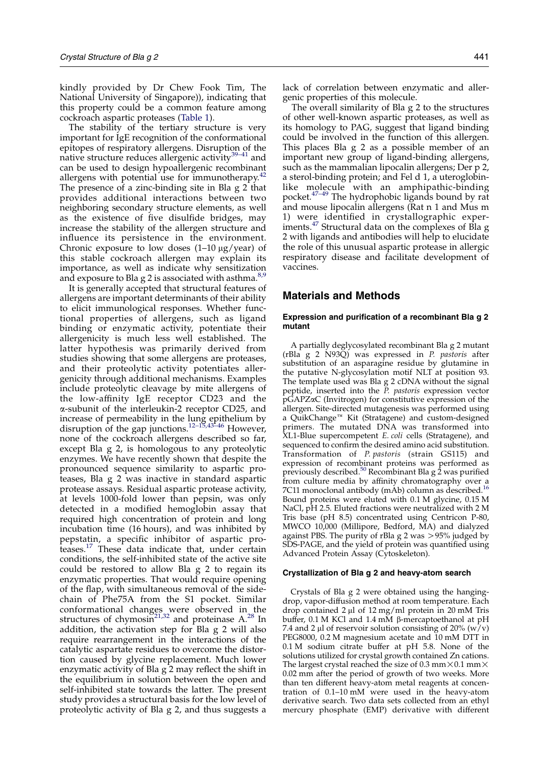kindly provided by Dr Chew Fook Tim, The National University of Singapore)), indicating that this property could be a common feature among cockroach aspartic proteases ([Table 1](#page-3-0)).

The stability of the tertiary structure is very important for IgE recognition of the conformational epitopes of respiratory allergens. Disruption of the native structure reduces allergenic activity<sup>39-41</sup> and can be used to design hypoallergenic recombinant allergens with potential use for immunotherapy.<sup>[42](#page-11-0)</sup> The presence of a zinc-binding site in Bla g 2 that provides additional interactions between two neighboring secondary structure elements, as well as the existence of five disulfide bridges, may increase the stability of the allergen structure and influence its persistence in the environment. Chronic exposure to low doses  $(1-10 \mu g/year)$  of this stable cockroach allergen may explain its importance, as well as indicate why sensitization and exposure to Bla g 2 is associated with asthma.<sup>[8,9](#page-10-0)</sup>

It is generally accepted that structural features of allergens are important determinants of their ability to elicit immunological responses. Whether functional properties of allergens, such as ligand binding or enzymatic activity, potentiate their allergenicity is much less well established. The latter hypothesis was primarily derived from studies showing that some allergens are proteases, and their proteolytic activity potentiates allergenicity through additional mechanisms. Examples include proteolytic cleavage by mite allergens of the low-affinity IgE receptor CD23 and the a-subunit of the interleukin-2 receptor CD25, and increase of permeability in the lung epithelium by disruption of the gap junctions.<sup>[12–15,43–46](#page-10-0)</sup> However, none of the cockroach allergens described so far, except Bla g 2, is homologous to any proteolytic enzymes. We have recently shown that despite the pronounced sequence similarity to aspartic proteases, Bla g 2 was inactive in standard aspartic protease assays. Residual aspartic protease activity, at levels 1000-fold lower than pepsin, was only detected in a modified hemoglobin assay that required high concentration of protein and long incubation time (16 hours), and was inhibited by pepstatin, a specific inhibitor of aspartic proteases.[17](#page-10-0) These data indicate that, under certain conditions, the self-inhibited state of the active site could be restored to allow Bla g 2 to regain its enzymatic properties. That would require opening of the flap, with simultaneous removal of the sidechain of Phe75A from the S1 pocket. Similar conformational changes were observed in the structures of chymosin<sup>[21,32](#page-10-0)</sup> and proteinase  $A^{28}$  $A^{28}$  $A^{28}$  In addition, the activation step for Bla g 2 will also require rearrangement in the interactions of the catalytic aspartate residues to overcome the distortion caused by glycine replacement. Much lower enzymatic activity of Bla g 2 may reflect the shift in the equilibrium in solution between the open and self-inhibited state towards the latter. The present study provides a structural basis for the low level of proteolytic activity of Bla g 2, and thus suggests a

lack of correlation between enzymatic and allergenic properties of this molecule.

The overall similarity of Bla g 2 to the structures of other well-known aspartic proteases, as well as its homology to PAG, suggest that ligand binding could be involved in the function of this allergen. This places Bla g 2 as a possible member of an important new group of ligand-binding allergens, such as the mammalian lipocalin allergens; Der p 2, a sterol-binding protein; and Fel d 1, a uteroglobinlike molecule with an amphipathic-binding pocket.[47–49](#page-11-0) The hydrophobic ligands bound by rat and mouse lipocalin allergens (Rat n 1 and Mus m 1) were identified in crystallographic exper- $\frac{1}{2}$  iments.<sup>[47](#page-11-0)</sup> Structural data on the complexes of Bla g 2 with ligands and antibodies will help to elucidate the role of this unusual aspartic protease in allergic respiratory disease and facilitate development of vaccines.

## Materials and Methods

### Expression and purification of a recombinant Bla g 2 mutant

A partially deglycosylated recombinant Bla g 2 mutant (rBla g 2 N93Q) was expressed in P. pastoris after substitution of an asparagine residue by glutamine in the putative N-glycosylation motif NLT at position 93. The template used was Bla g 2 cDNA without the signal peptide, inserted into the  $\overline{P}$ . pastoris expression vector pGAPZaC (Invitrogen) for constitutive expression of the allergen. Site-directed mutagenesis was performed using a QuikChange<sup>™</sup> Kit (Stratagene) and custom-designed primers. The mutated DNA was transformed into XL1-Blue supercompetent E. coli cells (Stratagene), and sequenced to confirm the desired amino acid substitution. Transformation of P. pastoris (strain GS115) and expression of recombinant proteins was performed as<br>previously described.<sup>[50](#page-11-0)</sup> Recombinant Bla g 2 was purified from culture media by affinity chromatography over a 7C11 monoclonal antibody (mAb) column as described. Bound proteins were eluted with 0.1 M glycine, 0.15 M NaCl, pH 2.5. Eluted fractions were neutralized with 2 M Tris base (pH 8.5) concentrated using Centricon P-80, MWCO 10,000 (Millipore, Bedford, MA) and dialyzed against PBS. The purity of rBla g  $2$  was  $> 95\%$  judged by SDS-PAGE, and the yield of protein was quantified using Advanced Protein Assay (Cytoskeleton).

#### Crystallization of Bla g 2 and heavy-atom search

Crystals of Bla g 2 were obtained using the hangingdrop, vapor-diffusion method at room temperature. Each drop contained  $2 \mu l$  of  $12 \text{ mg/ml}$  protein in  $20 \text{ mM}$  Tris buffer, 0.1 M KCl and 1.4 mM b-mercaptoethanol at pH 7.4 and 2 µl of reservoir solution consisting of  $20\%$  (w/v) PEG8000, 0.2 M magnesium acetate and 10 mM DTT in 0.1 M sodium citrate buffer at pH 5.8. None of the solutions utilized for crystal growth contained Zn cations. The largest crystal reached the size of 0.3 mm $\times$ 0.1 mm $\times$ 0.02 mm after the period of growth of two weeks. More than ten different heavy-atom metal reagents at concentration of 0.1–10 mM were used in the heavy-atom derivative search. Two data sets collected from an ethyl mercury phosphate (EMP) derivative with different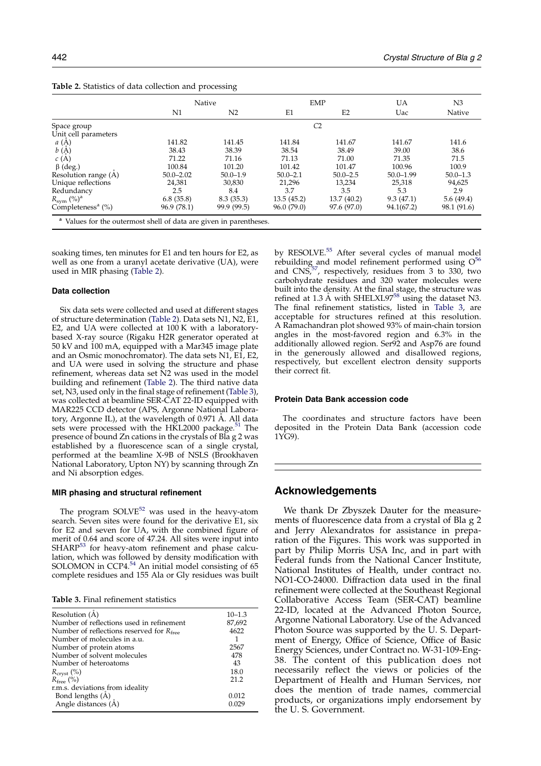|                                  |                | Native         | EMP          |                | UA            | N <sub>3</sub> |
|----------------------------------|----------------|----------------|--------------|----------------|---------------|----------------|
|                                  | N1             | N <sub>2</sub> | E1           | E <sub>2</sub> | Uac           | Native         |
| Space group                      | C <sub>2</sub> |                |              |                |               |                |
| Unit cell parameters             |                |                |              |                |               |                |
| a(A)                             | 141.82         | 141.45         | 141.84       | 141.67         | 141.67        | 141.6          |
| $b\left(\check{A}\right)$        | 38.43          | 38.39          | 38.54        | 38.49          | 39.00         | 38.6           |
| c(A)                             | 71.22          | 71.16          | 71.13        | 71.00          | 71.35         | 71.5           |
| $\beta$ (deg.)                   | 100.84         | 101.20         | 101.42       | 101.47         | 100.96        | 100.9          |
| Resolution range (A)             | $50.0 - 2.02$  | $50.0 - 1.9$   | $50.0 - 2.1$ | $50.0 - 2.5$   | $50.0 - 1.99$ | $50.0 - 1.3$   |
| Unique reflections               | 24,381         | 30,830         | 21.296       | 13.234         | 25,318        | 94,625         |
| Redundancy                       | 2.5            | 8.4            | 3.7          | 3.5            | 5.3           | 2.9            |
| $R_{sym}$ (%) <sup>a</sup>       | 6.8(35.8)      | 8.3(35.3)      | 13.5(45.2)   | 13.7 (40.2)    | 9.3(47.1)     | 5.6(49.4)      |
| Completeness <sup>a</sup> $(\%)$ | 96.9 (78.1)    | 99.9 (99.5)    | 96.0 (79.0)  | 97.6 (97.0)    | 94.1(67.2)    | 98.1 (91.6)    |

Table 2. Statistics of data collection and processing

soaking times, ten minutes for E1 and ten hours for E2, as well as one from a uranyl acetate derivative (UA), were used in MIR phasing (Table 2).

#### Data collection

Six data sets were collected and used at different stages of structure determination (Table 2). Data sets N1, N2, E1, E2, and UA were collected at 100 K with a laboratorybased X-ray source (Rigaku H2R generator operated at 50 kV and 100 mA, equipped with a Mar345 image plate and an Osmic monochromator). The data sets N1, E1, E2, and UA were used in solving the structure and phase refinement, whereas data set N2 was used in the model building and refinement (Table 2). The third native data set, N3, used only in the final stage of refinement (Table 3), was collected at beamline SER-CAT 22-ID equipped with MAR225 CCD detector (APS, Argonne National Laboratory, Argonne IL), at the wavelength of 0.971 A. All data sets were processed with the HKL2000 package. $51$  The presence of bound Zn cations in the crystals of Bla g 2 was established by a fluorescence scan of a single crystal, performed at the beamline X-9B of NSLS (Brookhaven National Laboratory, Upton NY) by scanning through Zn and Ni absorption edges.

## MIR phasing and structural refinement

The program  $SOLVE^{52}$  $SOLVE^{52}$  $SOLVE^{52}$  was used in the heavy-atom search. Seven sites were found for the derivative E1, six for E2 and seven for UA, with the combined figure of merit of 0.64 and score of 47.24. All sites were input into SHARP<sup>[53](#page-11-0)</sup> for heavy-atom refinement and phase calcu-lation, which was followed by density modification with<br>SOLOMON in CCP4.<sup>[54](#page-11-0)</sup> An initial model consisting of 65 complete residues and 155 Ala or Gly residues was built

Table 3. Final refinement statistics

| Resolution (A)                                       | $10 - 1.3$ |
|------------------------------------------------------|------------|
| Number of reflections used in refinement             | 87,692     |
| Number of reflections reserved for $R_{\text{free}}$ | 4622       |
| Number of molecules in a.u.                          |            |
| Number of protein atoms                              | 2567       |
| Number of solvent molecules                          | 478        |
| Number of heteroatoms                                | 43         |
| $R_{\text{crvst}}(\%)$                               | 18.0       |
| $R_{\text{free}}$ (%)                                | 21.2       |
| r.m.s. deviations from ideality                      |            |
| Bond lengths $(A)$                                   | 0.012      |
| Angle distances (A)                                  | i N79      |

by RESOLVE.<sup>[55](#page-11-0)</sup> After several cycles of manual model rebuilding and model refinement performed using  $O^{56}$  $O^{56}$  $O^{56}$ and  $CNS$ <sup>57</sup>, respectively, residues from 3 to 330, two carbohydrate residues and 320 water molecules were built into the density. At the final stage, the structure was refined at 1.3 Å with SHELXL97 $^{58}$  $^{58}$  $^{58}$  using the dataset N3. The final refinement statistics, listed in Table 3, are acceptable for structures refined at this resolution. A Ramachandran plot showed 93% of main-chain torsion angles in the most-favored region and 6.3% in the additionally allowed region. Ser92 and Asp76 are found in the generously allowed and disallowed regions, respectively, but excellent electron density supports their correct fit.

#### Protein Data Bank accession code

The coordinates and structure factors have been deposited in the Protein Data Bank (accession code 1YG9).

## Acknowledgements

We thank Dr Zbyszek Dauter for the measurements of fluorescence data from a crystal of Bla g 2 and Jerry Alexandratos for assistance in preparation of the Figures. This work was supported in part by Philip Morris USA Inc, and in part with Federal funds from the National Cancer Institute, National Institutes of Health, under contract no. NO1-CO-24000. Diffraction data used in the final refinement were collected at the Southeast Regional Collaborative Access Team (SER-CAT) beamline 22-ID, located at the Advanced Photon Source, Argonne National Laboratory. Use of the Advanced Photon Source was supported by the U. S. Department of Energy, Office of Science, Office of Basic Energy Sciences, under Contract no. W-31-109-Eng-38. The content of this publication does not necessarily reflect the views or policies of the Department of Health and Human Services, nor does the mention of trade names, commercial products, or organizations imply endorsement by the U. S. Government.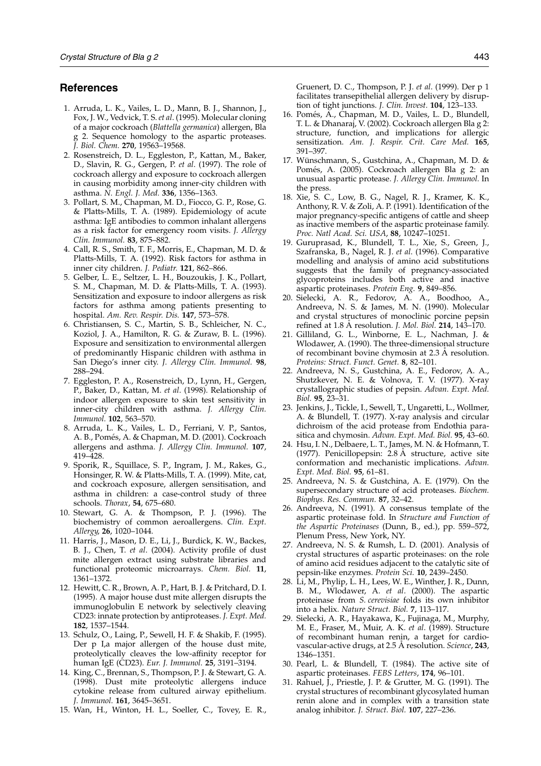## <span id="page-10-0"></span>References

- 1. Arruda, L. K., Vailes, L. D., Mann, B. J., Shannon, J., Fox, J. W., Vedvick, T. S. et al. (1995). Molecular cloning of a major cockroach (Blattella germanica) allergen, Bla g 2. Sequence homology to the aspartic proteases. J. Biol. Chem. 270, 19563–19568.
- 2. Rosenstreich, D. L., Eggleston, P., Kattan, M., Baker, D., Slavin, R. G., Gergen, P. et al. (1997). The role of cockroach allergy and exposure to cockroach allergen in causing morbidity among inner-city children with asthma. N. Engl. J. Med. 336, 1356–1363.
- 3. Pollart, S. M., Chapman, M. D., Fiocco, G. P., Rose, G. & Platts-Mills, T. A. (1989). Epidemiology of acute asthma: IgE antibodies to common inhalant allergens as a risk factor for emergency room visits. J. Allergy Clin. Immunol. 83, 875–882.
- 4. Call, R. S., Smith, T. F., Morris, E., Chapman, M. D. & Platts-Mills, T. A. (1992). Risk factors for asthma in inner city children. J. Pediatr. 121, 862–866.
- 5. Gelber, L. E., Seltzer, L. H., Bouzoukis, J. K., Pollart, S. M., Chapman, M. D. & Platts-Mills, T. A. (1993). Sensitization and exposure to indoor allergens as risk factors for asthma among patients presenting to hospital. Am. Rev. Respir. Dis. 147, 573–578.
- 6. Christiansen, S. C., Martin, S. B., Schleicher, N. C., Koziol, J. A., Hamilton, R. G. & Zuraw, B. L. (1996). Exposure and sensitization to environmental allergen of predominantly Hispanic children with asthma in San Diego's inner city. J. Allergy Clin. Immunol. 98, 288–294.
- 7. Eggleston, P. A., Rosenstreich, D., Lynn, H., Gergen, P., Baker, D., Kattan, M. et al. (1998). Relationship of indoor allergen exposure to skin test sensitivity in inner-city children with asthma. J. Allergy Clin. Immunol. 102, 563–570.
- 8. Arruda, L. K., Vailes, L. D., Ferriani, V. P., Santos, A. B., Pomés, A. & Chapman, M. D. (2001). Cockroach allergens and asthma. J. Allergy Clin. Immunol. 107, 419–428.
- 9. Sporik, R., Squillace, S. P., Ingram, J. M., Rakes, G., Honsinger, R. W. & Platts-Mills, T. A. (1999). Mite, cat, and cockroach exposure, allergen sensitisation, and asthma in children: a case-control study of three schools. Thorax, 54, 675–680.
- 10. Stewart, G. A. & Thompson, P. J. (1996). The biochemistry of common aeroallergens. Clin. Expt. Allergy, 26, 1020–1044.
- 11. Harris, J., Mason, D. E., Li, J., Burdick, K. W., Backes, B. J., Chen, T. et al. (2004). Activity profile of dust mite allergen extract using substrate libraries and functional proteomic microarrays. Chem. Biol. 11, 1361–1372.
- 12. Hewitt, C. R., Brown, A. P., Hart, B. J. & Pritchard, D. I. (1995). A major house dust mite allergen disrupts the immunoglobulin E network by selectively cleaving CD23: innate protection by antiproteases. J. Expt. Med. 182, 1537–1544.
- 13. Schulz, O., Laing, P., Sewell, H. F. & Shakib, F. (1995). Der p I,a major allergen of the house dust mite, proteolytically cleaves the low-affinity receptor for human IgE (CD23). Eur. J. Immunol. 25, 3191–3194.
- 14. King, C., Brennan, S., Thompson, P. J. & Stewart, G. A. (1998). Dust mite proteolytic allergens induce cytokine release from cultured airway epithelium. J. Immunol. 161, 3645–3651.
- 15. Wan, H., Winton, H. L., Soeller, C., Tovey, E. R.,

Gruenert, D. C., Thompson, P. J. et al. (1999). Der p 1 facilitates transepithelial allergen delivery by disruption of tight junctions. J. Clin. Invest. 104, 123–133.

- 16. Pomés, A., Chapman, M. D., Vailes, L. D., Blundell, T. L. & Dhanaraj, V. (2002). Cockroach allergen Bla g 2: structure, function, and implications for allergic sensitization. Am. J. Respir. Crit. Care Med. 165, 391–397.
- 17. Wünschmann, S., Gustchina, A., Chapman, M. D. & Pomés, A. (2005). Cockroach allergen Bla g 2: an unusual aspartic protease. J. Allergy Clin. Immunol. In the press.
- 18. Xie, S. C., Low, B. G., Nagel, R. J., Kramer, K. K., Anthony, R. V. & Zoli, A. P. (1991). Identification of the major pregnancy-specific antigens of cattle and sheep as inactive members of the aspartic proteinase family. Proc. Natl Acad. Sci. USA, 88, 10247–10251.
- 19. Guruprasad, K., Blundell, T. L., Xie, S., Green, J., Szafranska, B., Nagel, R. J. et al. (1996). Comparative modelling and analysis of amino acid substitutions suggests that the family of pregnancy-associated glycoproteins includes both active and inactive aspartic proteinases. Protein Eng. 9, 849–856.
- 20. Sielecki, A. R., Fedorov, A. A., Boodhoo, A., Andreeva, N. S. & James, M. N. (1990). Molecular and crystal structures of monoclinic porcine pepsin refined at 1.8 A resolution. J. Mol. Biol. 214, 143–170.
- 21. Gilliland, G. L., Winborne, E. L., Nachman, J. & Wlodawer, A. (1990). The three-dimensional structure of recombinant bovine chymosin at 2.3 A resolution. Proteins: Struct. Funct. Genet. 8, 82–101.
- 22. Andreeva, N. S., Gustchina, A. E., Fedorov, A. A., Shutzkever, N. E. & Volnova, T. V. (1977). X-ray crystallographic studies of pepsin. Advan. Expt. Med. Biol. 95, 23–31.
- 23. Jenkins, J., Tickle, I., Sewell, T., Ungaretti, L., Wollmer, A. & Blundell, T. (1977). X-ray analysis and circular dichroism of the acid protease from Endothia parasitica and chymosin. Advan. Expt. Med. Biol. 95, 43–60.
- 24. Hsu, I. N., Delbaere, L. T., James, M. N. & Hofmann, T. (1977). Penicillopepsin:  $2.8 \text{ Å}$  structure, active site conformation and mechanistic implications. Advan. Expt. Med. Biol. 95, 61–81.
- 25. Andreeva, N. S. & Gustchina, A. E. (1979). On the supersecondary structure of acid proteases. Biochem. Biophys. Res. Commun. 87, 32–42.
- 26. Andreeva, N. (1991). A consensus template of the aspartic proteinase fold. In Structure and Function of the Aspartic Proteinases (Dunn, B., ed.), pp. 559–572, Plenum Press, New York, NY.
- 27. Andreeva, N. S. & Rumsh, L. D. (2001). Analysis of crystal structures of aspartic proteinases: on the role of amino acid residues adjacent to the catalytic site of pepsin-like enzymes. Protein Sci. 10, 2439–2450.
- 28. Li, M., Phylip, L. H., Lees, W. E., Winther, J. R., Dunn, B. M., Wlodawer, A. et al. (2000). The aspartic proteinase from S. cerevisiae folds its own inhibitor into a helix. Nature Struct. Biol. 7, 113–117.
- 29. Sielecki, A. R., Hayakawa, K., Fujinaga, M., Murphy, M. E., Fraser, M., Muir, A. K. et al. (1989). Structure of recombinant human renin, a target for cardiovascular-active drugs, at 2.5 Å resolution. Science, 243, 1346–1351.
- 30. Pearl, L. & Blundell, T. (1984). The active site of aspartic proteinases. FEBS Letters, 174, 96–101.
- 31. Rahuel, J., Priestle, J. P. & Grutter, M. G. (1991). The crystal structures of recombinant glycosylated human renin alone and in complex with a transition state analog inhibitor. J. Struct. Biol. 107, 227–236.